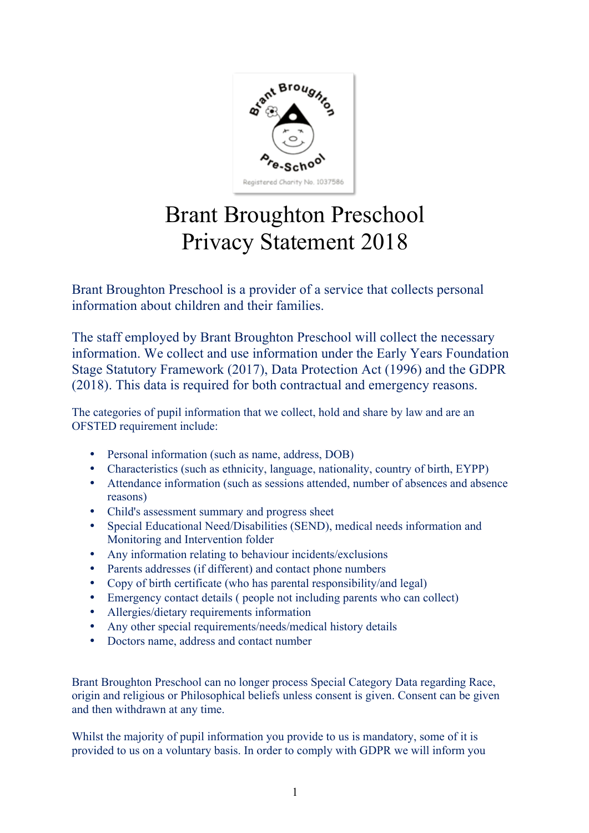

## Brant Broughton Preschool Privacy Statement 2018

Brant Broughton Preschool is a provider of a service that collects personal information about children and their families.

The staff employed by Brant Broughton Preschool will collect the necessary information. We collect and use information under the Early Years Foundation Stage Statutory Framework (2017), Data Protection Act (1996) and the GDPR (2018). This data is required for both contractual and emergency reasons.

The categories of pupil information that we collect, hold and share by law and are an OFSTED requirement include:

- Personal information (such as name, address, DOB)
- Characteristics (such as ethnicity, language, nationality, country of birth, EYPP)
- Attendance information (such as sessions attended, number of absences and absence reasons)
- Child's assessment summary and progress sheet
- Special Educational Need/Disabilities (SEND), medical needs information and Monitoring and Intervention folder
- Any information relating to behaviour incidents/exclusions
- Parents addresses (if different) and contact phone numbers
- Copy of birth certificate (who has parental responsibility/and legal)
- Emergency contact details ( people not including parents who can collect)
- Allergies/dietary requirements information
- Any other special requirements/needs/medical history details
- Doctors name, address and contact number

Brant Broughton Preschool can no longer process Special Category Data regarding Race, origin and religious or Philosophical beliefs unless consent is given. Consent can be given and then withdrawn at any time.

Whilst the majority of pupil information you provide to us is mandatory, some of it is provided to us on a voluntary basis. In order to comply with GDPR we will inform you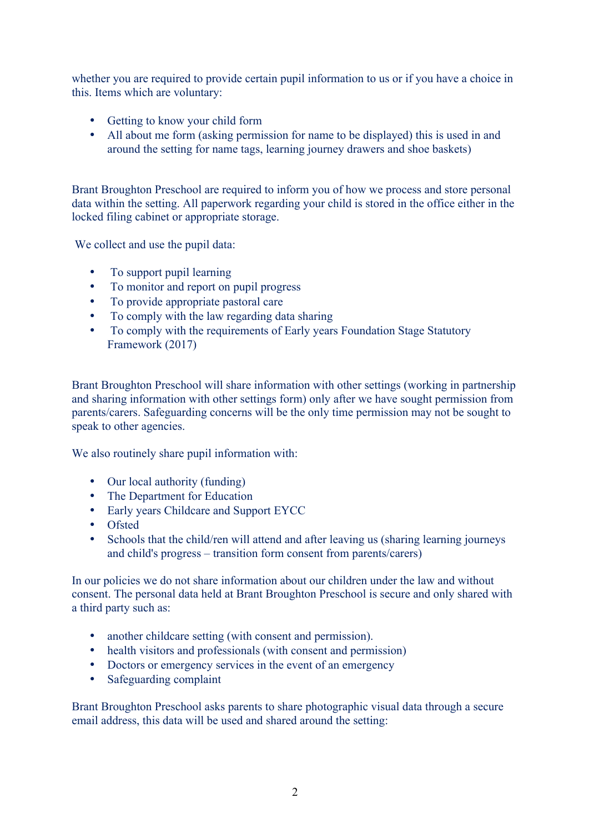whether you are required to provide certain pupil information to us or if you have a choice in this. Items which are voluntary:

- Getting to know your child form
- All about me form (asking permission for name to be displayed) this is used in and around the setting for name tags, learning journey drawers and shoe baskets)

Brant Broughton Preschool are required to inform you of how we process and store personal data within the setting. All paperwork regarding your child is stored in the office either in the locked filing cabinet or appropriate storage.

We collect and use the pupil data:

- To support pupil learning
- To monitor and report on pupil progress
- To provide appropriate pastoral care
- To comply with the law regarding data sharing
- To comply with the requirements of Early years Foundation Stage Statutory Framework (2017)

Brant Broughton Preschool will share information with other settings (working in partnership and sharing information with other settings form) only after we have sought permission from parents/carers. Safeguarding concerns will be the only time permission may not be sought to speak to other agencies.

We also routinely share pupil information with:

- Our local authority (funding)
- The Department for Education
- Early years Childcare and Support EYCC
- Ofsted
- Schools that the child/ren will attend and after leaving us (sharing learning journeys and child's progress – transition form consent from parents/carers)

In our policies we do not share information about our children under the law and without consent. The personal data held at Brant Broughton Preschool is secure and only shared with a third party such as:

- another childcare setting (with consent and permission).
- health visitors and professionals (with consent and permission)
- Doctors or emergency services in the event of an emergency
- Safeguarding complaint

Brant Broughton Preschool asks parents to share photographic visual data through a secure email address, this data will be used and shared around the setting: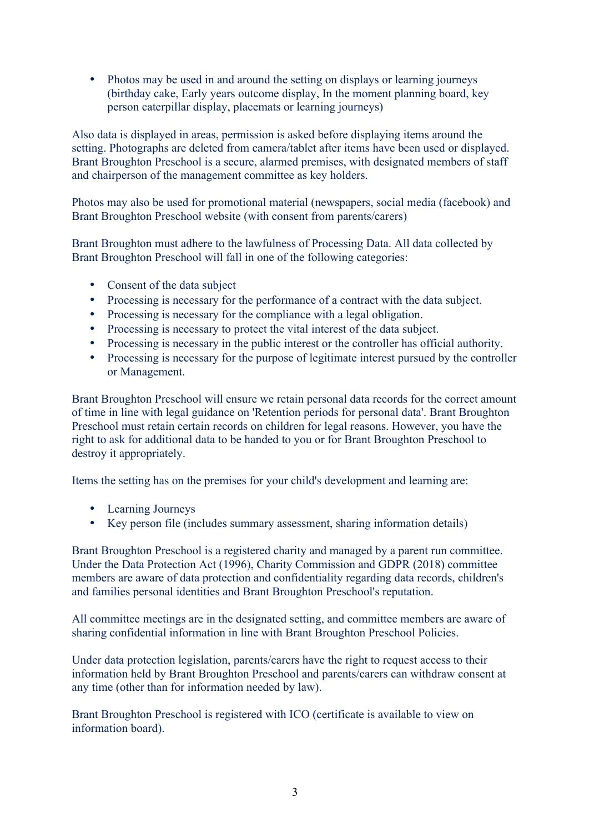• Photos may be used in and around the setting on displays or learning journeys (birthday cake, Early years outcome display, In the moment planning board, key person caterpillar display, placemats or learning journeys)

Also data is displayed in areas, permission is asked before displaying items around the setting. Photographs are deleted from camera/tablet after items have been used or displayed. Brant Broughton Preschool is a secure, alarmed premises, with designated members of staff and chairperson of the management committee as key holders.

Photos may also be used for promotional material (newspapers, social media (facebook) and Brant Broughton Preschool website (with consent from parents/carers)

Brant Broughton must adhere to the lawfulness of Processing Data. All data collected by Brant Broughton Preschool will fall in one of the following categories:

- Consent of the data subject
- Processing is necessary for the performance of a contract with the data subject.
- Processing is necessary for the compliance with a legal obligation.
- Processing is necessary to protect the vital interest of the data subject.
- Processing is necessary in the public interest or the controller has official authority.
- Processing is necessary for the purpose of legitimate interest pursued by the controller or Management.

Brant Broughton Preschool will ensure we retain personal data records for the correct amount of time in line with legal guidance on 'Retention periods for personal data'. Brant Broughton Preschool must retain certain records on children for legal reasons. However, you have the right to ask for additional data to be handed to you or for Brant Broughton Preschool to destroy it appropriately.

Items the setting has on the premises for your child's development and learning are:

- Learning Journeys
- Key person file (includes summary assessment, sharing information details)

Brant Broughton Preschool is a registered charity and managed by a parent run committee. Under the Data Protection Act (1996), Charity Commission and GDPR (2018) committee members are aware of data protection and confidentiality regarding data records, children's and families personal identities and Brant Broughton Preschool's reputation.

All committee meetings are in the designated setting, and committee members are aware of sharing confidential information in line with Brant Broughton Preschool Policies.

Under data protection legislation, parents/carers have the right to request access to their information held by Brant Broughton Preschool and parents/carers can withdraw consent at any time (other than for information needed by law).

Brant Broughton Preschool is registered with ICO (certificate is available to view on information board).